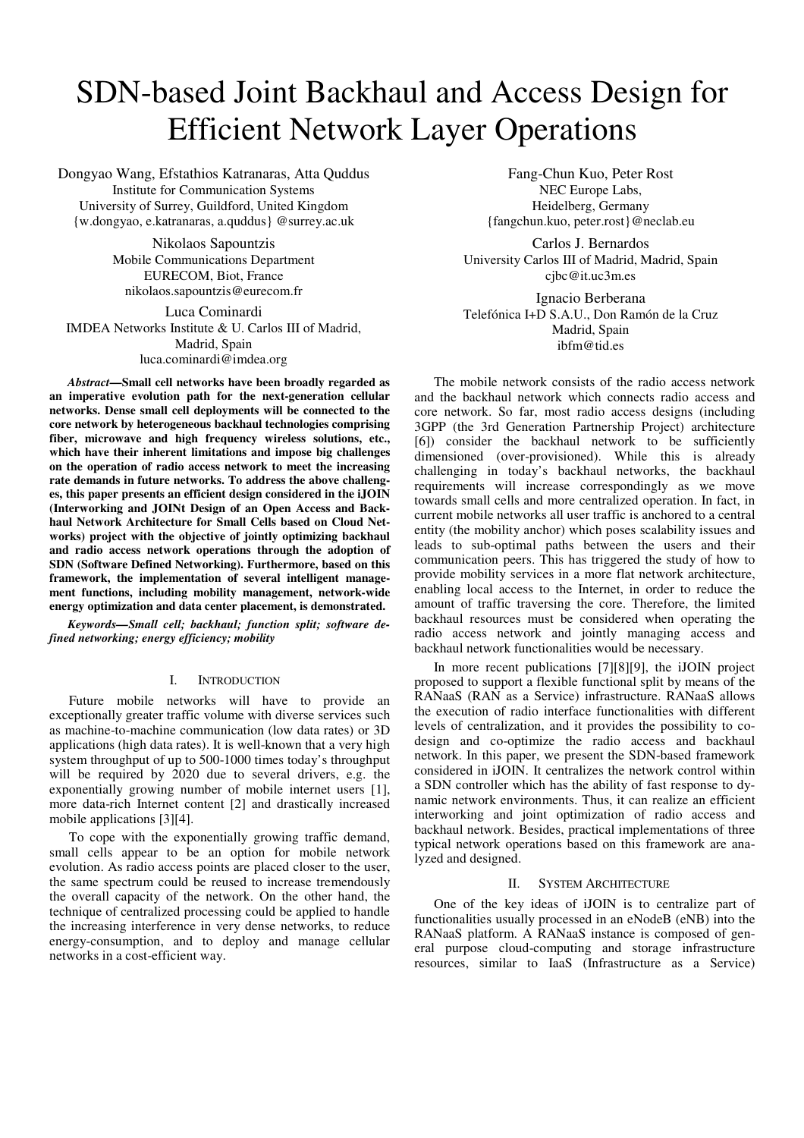# SDN-based Joint Backhaul and Access Design for Efficient Network Layer Operations

Dongyao Wang, Efstathios Katranaras, Atta Quddus Institute for Communication Systems University of Surrey, Guildford, United Kingdom

{w.dongyao, e.katranaras, a.quddus} @surrey.ac.uk

Nikolaos Sapountzis Mobile Communications Department EURECOM, Biot, France nikolaos.sapountzis@eurecom.fr

Luca Cominardi IMDEA Networks Institute & U. Carlos III of Madrid, Madrid, Spain luca.cominardi@imdea.org

*Abstract***—Small cell networks have been broadly regarded as an imperative evolution path for the next-generation cellular networks. Dense small cell deployments will be connected to the core network by heterogeneous backhaul technologies comprising fiber, microwave and high frequency wireless solutions, etc., which have their inherent limitations and impose big challenges on the operation of radio access network to meet the increasing rate demands in future networks. To address the above challenges, this paper presents an efficient design considered in the iJOIN (Interworking and JOINt Design of an Open Access and Backhaul Network Architecture for Small Cells based on Cloud Networks) project with the objective of jointly optimizing backhaul and radio access network operations through the adoption of SDN (Software Defined Networking). Furthermore, based on this framework, the implementation of several intelligent management functions, including mobility management, network-wide energy optimization and data center placement, is demonstrated.** 

*Keywords—Small cell; backhaul; function split; software defined networking; energy efficiency; mobility* 

#### I. INTRODUCTION

Future mobile networks will have to provide an exceptionally greater traffic volume with diverse services such as machine-to-machine communication (low data rates) or 3D applications (high data rates). It is well-known that a very high system throughput of up to 500-1000 times today's throughput will be required by 2020 due to several drivers, e.g. the exponentially growing number of mobile internet users [1], more data-rich Internet content [2] and drastically increased mobile applications [3][4].

To cope with the exponentially growing traffic demand, small cells appear to be an option for mobile network evolution. As radio access points are placed closer to the user, the same spectrum could be reused to increase tremendously the overall capacity of the network. On the other hand, the technique of centralized processing could be applied to handle the increasing interference in very dense networks, to reduce energy-consumption, and to deploy and manage cellular networks in a cost-efficient way.

Fang-Chun Kuo, Peter Rost NEC Europe Labs, Heidelberg, Germany {fangchun.kuo, peter.rost}@neclab.eu

Carlos J. Bernardos University Carlos III of Madrid, Madrid, Spain cjbc@it.uc3m.es

Ignacio Berberana Telefónica I+D S.A.U., Don Ramón de la Cruz Madrid, Spain ibfm@tid.es

The mobile network consists of the radio access network and the backhaul network which connects radio access and core network. So far, most radio access designs (including 3GPP (the 3rd Generation Partnership Project) architecture [6]) consider the backhaul network to be sufficiently dimensioned (over-provisioned). While this is already challenging in today's backhaul networks, the backhaul requirements will increase correspondingly as we move towards small cells and more centralized operation. In fact, in current mobile networks all user traffic is anchored to a central entity (the mobility anchor) which poses scalability issues and leads to sub-optimal paths between the users and their communication peers. This has triggered the study of how to provide mobility services in a more flat network architecture, enabling local access to the Internet, in order to reduce the amount of traffic traversing the core. Therefore, the limited backhaul resources must be considered when operating the radio access network and jointly managing access and backhaul network functionalities would be necessary.

In more recent publications [7][8][9], the iJOIN project proposed to support a flexible functional split by means of the RANaaS (RAN as a Service) infrastructure. RANaaS allows the execution of radio interface functionalities with different levels of centralization, and it provides the possibility to codesign and co-optimize the radio access and backhaul network. In this paper, we present the SDN-based framework considered in iJOIN. It centralizes the network control within a SDN controller which has the ability of fast response to dynamic network environments. Thus, it can realize an efficient interworking and joint optimization of radio access and backhaul network. Besides, practical implementations of three typical network operations based on this framework are analyzed and designed.

#### II. SYSTEM ARCHITECTURE

One of the key ideas of iJOIN is to centralize part of functionalities usually processed in an eNodeB (eNB) into the RANaaS platform. A RANaaS instance is composed of general purpose cloud-computing and storage infrastructure resources, similar to IaaS (Infrastructure as a Service)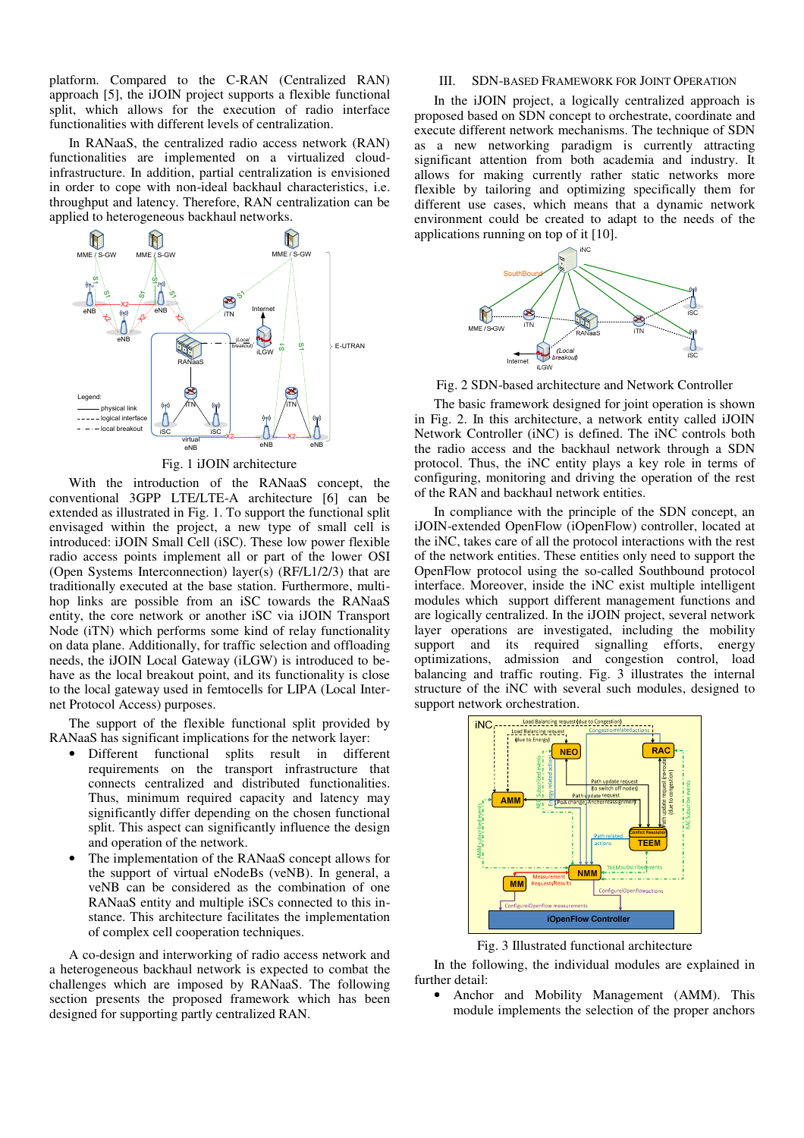platform. Compared to the C-RAN (Centralized RAN) approach [5], the iJOIN project supports a flexible functional split, which allows for the execution of radio interface functionalities with different levels of centralization.

In RANaaS, the centralized radio access network (RAN) functionalities are implemented on a virtualized cloudinfrastructure. In addition, partial centralization is envisioned in order to cope with non-ideal backhaul characteristics, i.e. throughput and latency. Therefore, RAN centralization can be applied to heterogeneous backhaul networks.



Fig. 1 iJOIN architecture

With the introduction of the RANaaS concept, the conventional 3GPP LTE/LTE-A architecture [6] can be extended as illustrated in Fig. 1. To support the functional split envisaged within the project, a new type of small cell is introduced: iJOIN Small Cell (iSC). These low power flexible radio access points implement all or part of the lower OSI (Open Systems Interconnection) layer(s) (RF/L1/2/3) that are traditionally executed at the base station. Furthermore, multihop links are possible from an iSC towards the RANaaS entity, the core network or another iSC via iJOIN Transport Node (iTN) which performs some kind of relay functionality on data plane. Additionally, for traffic selection and offloading needs, the iJOIN Local Gateway (iLGW) is introduced to behave as the local breakout point, and its functionality is close to the local gateway used in femtocells for LIPA (Local Internet Protocol Access) purposes.

The support of the flexible functional split provided by RANaaS has significant implications for the network layer:

- Different functional splits result in different requirements on the transport infrastructure that connects centralized and distributed functionalities. Thus, minimum required capacity and latency may significantly differ depending on the chosen functional split. This aspect can significantly influence the design and operation of the network.
- The implementation of the RANaaS concept allows for the support of virtual eNodeBs (veNB). In general, a veNB can be considered as the combination of one RANaaS entity and multiple iSCs connected to this instance. This architecture facilitates the implementation of complex cell cooperation techniques.

A co-design and interworking of radio access network and a heterogeneous backhaul network is expected to combat the challenges which are imposed by RANaaS. The following section presents the proposed framework which has been designed for supporting partly centralized RAN.

# III. SDN-BASED FRAMEWORK FOR JOINT OPERATION

In the iJOIN project, a logically centralized approach is proposed based on SDN concept to orchestrate, coordinate and execute different network mechanisms. The technique of SDN as a new networking paradigm is currently attracting significant attention from both academia and industry. It allows for making currently rather static networks more flexible by tailoring and optimizing specifically them for different use cases, which means that a dynamic network environment could be created to adapt to the needs of the applications running on top of it [10].



Fig. 2 SDN-based architecture and Network Controller

The basic framework designed for joint operation is shown in Fig. 2. In this architecture, a network entity called iJOIN Network Controller (iNC) is defined. The iNC controls both the radio access and the backhaul network through a SDN protocol. Thus, the iNC entity plays a key role in terms of configuring, monitoring and driving the operation of the rest of the RAN and backhaul network entities.

In compliance with the principle of the SDN concept, an iJOIN-extended OpenFlow (iOpenFlow) controller, located at the iNC, takes care of all the protocol interactions with the rest of the network entities. These entities only need to support the OpenFlow protocol using the so-called Southbound protocol interface. Moreover, inside the iNC exist multiple intelligent modules which support different management functions and are logically centralized. In the iJOIN project, several network layer operations are investigated, including the mobility support and its required signalling efforts, energy optimizations, admission and congestion control, load balancing and traffic routing. Fig. 3 illustrates the internal structure of the iNC with several such modules, designed to support network orchestration.



Fig. 3 Illustrated functional architecture

 In the following, the individual modules are explained in further detail:

• Anchor and Mobility Management (AMM). This module implements the selection of the proper anchors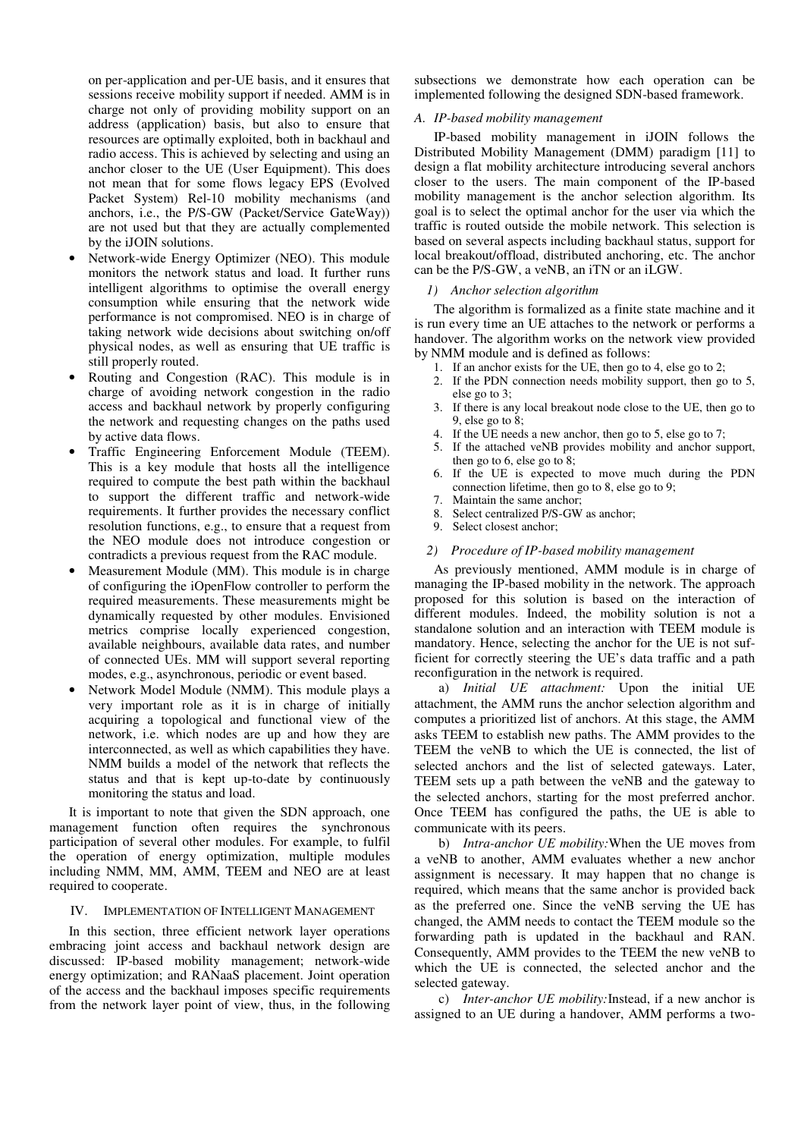on per-application and per-UE basis, and it ensures that sessions receive mobility support if needed. AMM is in charge not only of providing mobility support on an address (application) basis, but also to ensure that resources are optimally exploited, both in backhaul and radio access. This is achieved by selecting and using an anchor closer to the UE (User Equipment). This does not mean that for some flows legacy EPS (Evolved Packet System) Rel-10 mobility mechanisms (and anchors, i.e., the P/S-GW (Packet/Service GateWay)) are not used but that they are actually complemented by the iJOIN solutions.

- Network-wide Energy Optimizer (NEO). This module monitors the network status and load. It further runs intelligent algorithms to optimise the overall energy consumption while ensuring that the network wide performance is not compromised. NEO is in charge of taking network wide decisions about switching on/off physical nodes, as well as ensuring that UE traffic is still properly routed.
- Routing and Congestion (RAC). This module is in charge of avoiding network congestion in the radio access and backhaul network by properly configuring the network and requesting changes on the paths used by active data flows.
- Traffic Engineering Enforcement Module (TEEM). This is a key module that hosts all the intelligence required to compute the best path within the backhaul to support the different traffic and network-wide requirements. It further provides the necessary conflict resolution functions, e.g., to ensure that a request from the NEO module does not introduce congestion or contradicts a previous request from the RAC module.
- Measurement Module (MM). This module is in charge of configuring the iOpenFlow controller to perform the required measurements. These measurements might be dynamically requested by other modules. Envisioned metrics comprise locally experienced congestion, available neighbours, available data rates, and number of connected UEs. MM will support several reporting modes, e.g., asynchronous, periodic or event based.
- Network Model Module (NMM). This module plays a very important role as it is in charge of initially acquiring a topological and functional view of the network, i.e. which nodes are up and how they are interconnected, as well as which capabilities they have. NMM builds a model of the network that reflects the status and that is kept up-to-date by continuously monitoring the status and load.

It is important to note that given the SDN approach, one management function often requires the synchronous participation of several other modules. For example, to fulfil the operation of energy optimization, multiple modules including NMM, MM, AMM, TEEM and NEO are at least required to cooperate.

#### IV. IMPLEMENTATION OF INTELLIGENT MANAGEMENT

In this section, three efficient network layer operations embracing joint access and backhaul network design are discussed: IP-based mobility management; network-wide energy optimization; and RANaaS placement. Joint operation of the access and the backhaul imposes specific requirements from the network layer point of view, thus, in the following

subsections we demonstrate how each operation can be implemented following the designed SDN-based framework.

## *A. IP-based mobility management*

IP-based mobility management in iJOIN follows the Distributed Mobility Management (DMM) paradigm [11] to design a flat mobility architecture introducing several anchors closer to the users. The main component of the IP-based mobility management is the anchor selection algorithm. Its goal is to select the optimal anchor for the user via which the traffic is routed outside the mobile network. This selection is based on several aspects including backhaul status, support for local breakout/offload, distributed anchoring, etc. The anchor can be the P/S-GW, a veNB, an iTN or an iLGW.

## *1) Anchor selection algorithm*

The algorithm is formalized as a finite state machine and it is run every time an UE attaches to the network or performs a handover. The algorithm works on the network view provided by NMM module and is defined as follows:

- 1. If an anchor exists for the UE, then go to 4, else go to 2;
- 2. If the PDN connection needs mobility support, then go to 5, else go to 3;
- 3. If there is any local breakout node close to the UE, then go to 9, else go to 8;
- 4. If the UE needs a new anchor, then go to 5, else go to 7;
- If the attached veNB provides mobility and anchor support, then go to 6, else go to 8;
- 6. If the UE is expected to move much during the PDN connection lifetime, then go to 8, else go to 9;
- 7. Maintain the same anchor;
- 8. Select centralized P/S-GW as anchor;
- 9. Select closest anchor;

#### *2) Procedure of IP-based mobility management*

As previously mentioned, AMM module is in charge of managing the IP-based mobility in the network. The approach proposed for this solution is based on the interaction of different modules. Indeed, the mobility solution is not a standalone solution and an interaction with TEEM module is mandatory. Hence, selecting the anchor for the UE is not sufficient for correctly steering the UE's data traffic and a path reconfiguration in the network is required.

a) *Initial UE attachment:* Upon the initial UE attachment, the AMM runs the anchor selection algorithm and computes a prioritized list of anchors. At this stage, the AMM asks TEEM to establish new paths. The AMM provides to the TEEM the veNB to which the UE is connected, the list of selected anchors and the list of selected gateways. Later, TEEM sets up a path between the veNB and the gateway to the selected anchors, starting for the most preferred anchor. Once TEEM has configured the paths, the UE is able to communicate with its peers.

b) *Intra-anchor UE mobility:*When the UE moves from a veNB to another, AMM evaluates whether a new anchor assignment is necessary. It may happen that no change is required, which means that the same anchor is provided back as the preferred one. Since the veNB serving the UE has changed, the AMM needs to contact the TEEM module so the forwarding path is updated in the backhaul and RAN. Consequently, AMM provides to the TEEM the new veNB to which the UE is connected, the selected anchor and the selected gateway.

c) *Inter-anchor UE mobility:*Instead, if a new anchor is assigned to an UE during a handover, AMM performs a two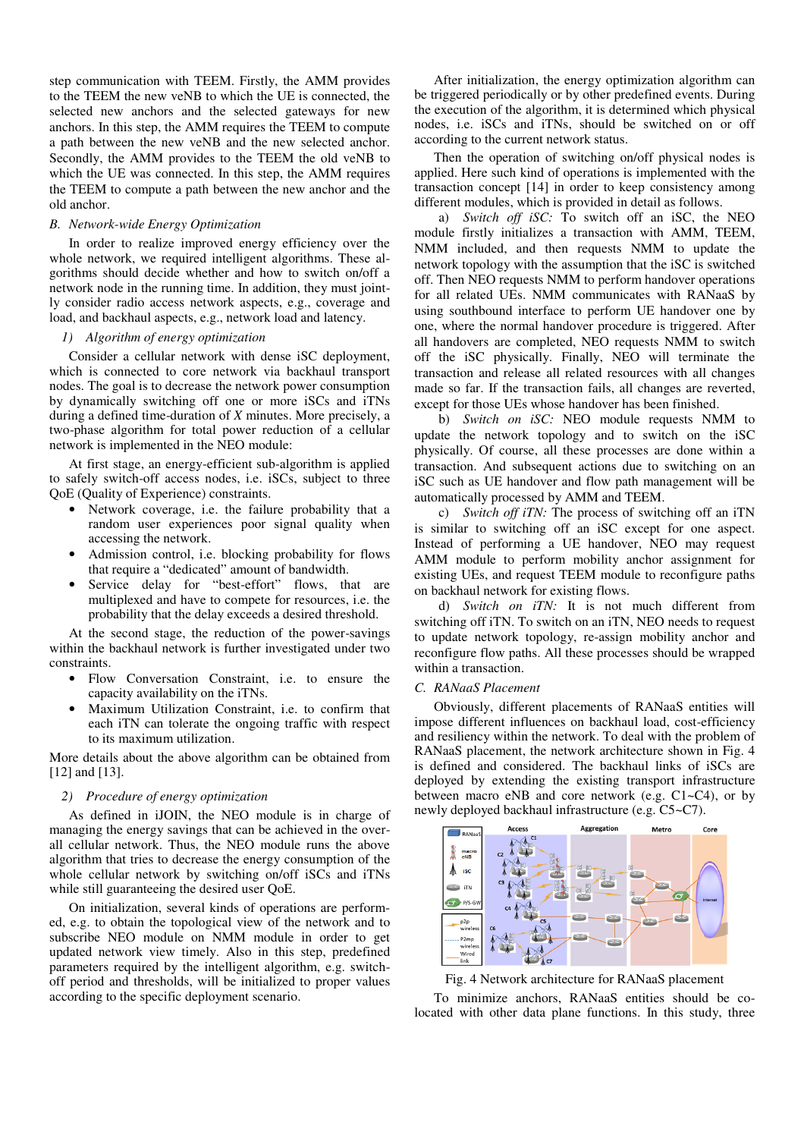step communication with TEEM. Firstly, the AMM provides to the TEEM the new veNB to which the UE is connected, the selected new anchors and the selected gateways for new anchors. In this step, the AMM requires the TEEM to compute a path between the new veNB and the new selected anchor. Secondly, the AMM provides to the TEEM the old veNB to which the UE was connected. In this step, the AMM requires the TEEM to compute a path between the new anchor and the old anchor.

#### *B. Network-wide Energy Optimization*

In order to realize improved energy efficiency over the whole network, we required intelligent algorithms. These algorithms should decide whether and how to switch on/off a network node in the running time. In addition, they must jointly consider radio access network aspects, e.g., coverage and load, and backhaul aspects, e.g., network load and latency.

#### *1) Algorithm of energy optimization*

Consider a cellular network with dense iSC deployment, which is connected to core network via backhaul transport nodes. The goal is to decrease the network power consumption by dynamically switching off one or more iSCs and iTNs during a defined time-duration of *X* minutes. More precisely, a two-phase algorithm for total power reduction of a cellular network is implemented in the NEO module:

At first stage, an energy-efficient sub-algorithm is applied to safely switch-off access nodes, i.e. iSCs, subject to three QoE (Quality of Experience) constraints.

- Network coverage, i.e. the failure probability that a random user experiences poor signal quality when accessing the network.
- Admission control, i.e. blocking probability for flows that require a "dedicated" amount of bandwidth.
- Service delay for "best-effort" flows, that are multiplexed and have to compete for resources, i.e. the probability that the delay exceeds a desired threshold.

At the second stage, the reduction of the power-savings within the backhaul network is further investigated under two constraints.

- Flow Conversation Constraint, i.e. to ensure the capacity availability on the iTNs.
- Maximum Utilization Constraint, i.e. to confirm that each iTN can tolerate the ongoing traffic with respect to its maximum utilization.

More details about the above algorithm can be obtained from [12] and [13].

## *2) Procedure of energy optimization*

As defined in iJOIN, the NEO module is in charge of managing the energy savings that can be achieved in the overall cellular network. Thus, the NEO module runs the above algorithm that tries to decrease the energy consumption of the whole cellular network by switching on/off iSCs and iTNs while still guaranteeing the desired user QoE.

On initialization, several kinds of operations are performed, e.g. to obtain the topological view of the network and to subscribe NEO module on NMM module in order to get updated network view timely. Also in this step, predefined parameters required by the intelligent algorithm, e.g. switchoff period and thresholds, will be initialized to proper values according to the specific deployment scenario.

After initialization, the energy optimization algorithm can be triggered periodically or by other predefined events. During the execution of the algorithm, it is determined which physical nodes, i.e. iSCs and iTNs, should be switched on or off according to the current network status.

Then the operation of switching on/off physical nodes is applied. Here such kind of operations is implemented with the transaction concept [14] in order to keep consistency among different modules, which is provided in detail as follows.

a) *Switch off iSC:* To switch off an iSC, the NEO module firstly initializes a transaction with AMM, TEEM, NMM included, and then requests NMM to update the network topology with the assumption that the iSC is switched off. Then NEO requests NMM to perform handover operations for all related UEs. NMM communicates with RANaaS by using southbound interface to perform UE handover one by one, where the normal handover procedure is triggered. After all handovers are completed, NEO requests NMM to switch off the iSC physically. Finally, NEO will terminate the transaction and release all related resources with all changes made so far. If the transaction fails, all changes are reverted, except for those UEs whose handover has been finished.

b) *Switch on iSC:* NEO module requests NMM to update the network topology and to switch on the iSC physically. Of course, all these processes are done within a transaction. And subsequent actions due to switching on an iSC such as UE handover and flow path management will be automatically processed by AMM and TEEM.

c) *Switch off iTN:* The process of switching off an iTN is similar to switching off an iSC except for one aspect. Instead of performing a UE handover, NEO may request AMM module to perform mobility anchor assignment for existing UEs, and request TEEM module to reconfigure paths on backhaul network for existing flows.

d) *Switch on iTN:* It is not much different from switching off iTN. To switch on an iTN, NEO needs to request to update network topology, re-assign mobility anchor and reconfigure flow paths. All these processes should be wrapped within a transaction.

## *C. RANaaS Placement*

Obviously, different placements of RANaaS entities will impose different influences on backhaul load, cost-efficiency and resiliency within the network. To deal with the problem of RANaaS placement, the network architecture shown in Fig. 4 is defined and considered. The backhaul links of iSCs are deployed by extending the existing transport infrastructure between macro eNB and core network (e.g.  $C1 - C4$ ), or by newly deployed backhaul infrastructure (e.g. C5~C7).



Fig. 4 Network architecture for RANaaS placement

To minimize anchors, RANaaS entities should be colocated with other data plane functions. In this study, three